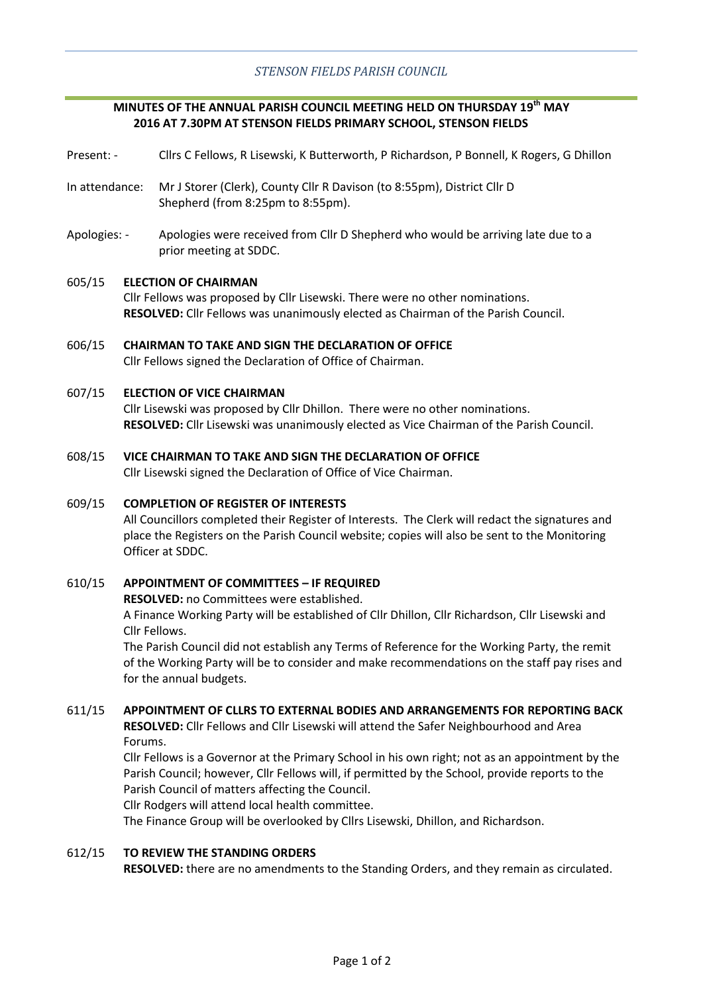# **MINUTES OF THE ANNUAL PARISH COUNCIL MEETING HELD ON THURSDAY 19th MAY 2016 AT 7.30PM AT STENSON FIELDS PRIMARY SCHOOL, STENSON FIELDS**

- Present: Cllrs C Fellows, R Lisewski, K Butterworth, P Richardson, P Bonnell, K Rogers, G Dhillon
- In attendance: Mr J Storer (Clerk), County Cllr R Davison (to 8:55pm), District Cllr D Shepherd (from 8:25pm to 8:55pm).
- Apologies: Apologies were received from Cllr D Shepherd who would be arriving late due to a prior meeting at SDDC.

#### 605/15 **ELECTION OF CHAIRMAN**

Cllr Fellows was proposed by Cllr Lisewski. There were no other nominations. **RESOLVED:** Cllr Fellows was unanimously elected as Chairman of the Parish Council.

606/15 **CHAIRMAN TO TAKE AND SIGN THE DECLARATION OF OFFICE** Cllr Fellows signed the Declaration of Office of Chairman.

#### 607/15 **ELECTION OF VICE CHAIRMAN**

Cllr Lisewski was proposed by Cllr Dhillon. There were no other nominations. **RESOLVED:** Cllr Lisewski was unanimously elected as Vice Chairman of the Parish Council.

#### 608/15 **VICE CHAIRMAN TO TAKE AND SIGN THE DECLARATION OF OFFICE**

Cllr Lisewski signed the Declaration of Office of Vice Chairman.

#### 609/15 **COMPLETION OF REGISTER OF INTERESTS**

All Councillors completed their Register of Interests. The Clerk will redact the signatures and place the Registers on the Parish Council website; copies will also be sent to the Monitoring Officer at SDDC.

#### 610/15 **APPOINTMENT OF COMMITTEES – IF REQUIRED**

**RESOLVED:** no Committees were established.

A Finance Working Party will be established of Cllr Dhillon, Cllr Richardson, Cllr Lisewski and Cllr Fellows.

The Parish Council did not establish any Terms of Reference for the Working Party, the remit of the Working Party will be to consider and make recommendations on the staff pay rises and for the annual budgets.

#### 611/15 **APPOINTMENT OF CLLRS TO EXTERNAL BODIES AND ARRANGEMENTS FOR REPORTING BACK**

**RESOLVED:** Cllr Fellows and Cllr Lisewski will attend the Safer Neighbourhood and Area Forums.

Cllr Fellows is a Governor at the Primary School in his own right; not as an appointment by the Parish Council; however, Cllr Fellows will, if permitted by the School, provide reports to the Parish Council of matters affecting the Council.

Cllr Rodgers will attend local health committee.

The Finance Group will be overlooked by Cllrs Lisewski, Dhillon, and Richardson.

#### 612/15 **TO REVIEW THE STANDING ORDERS**

**RESOLVED:** there are no amendments to the Standing Orders, and they remain as circulated.